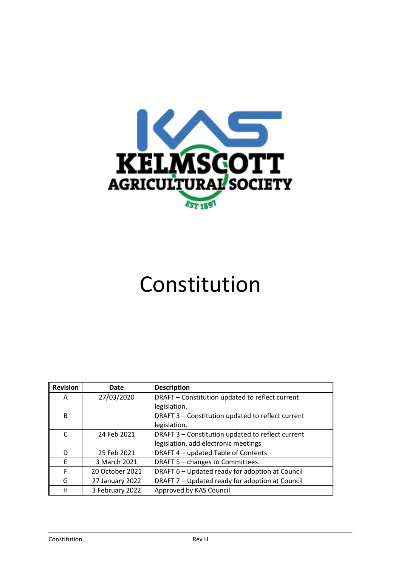

# Constitution

| <b>Revision</b> | Date            | <b>Description</b>                                |
|-----------------|-----------------|---------------------------------------------------|
| A               | 27/03/2020      | DRAFT - Constitution updated to reflect current   |
|                 |                 | legislation.                                      |
| B               |                 | DRAFT 3 - Constitution updated to reflect current |
|                 |                 | legislation.                                      |
| C               | 24 Feb 2021     | DRAFT 3 - Constitution updated to reflect current |
|                 |                 | legislation, add electronic meetings              |
| D               | 25 Feb 2021     | DRAFT 4 - updated Table of Contents               |
| E               | 3 March 2021    | DRAFT 5 - changes to Committees                   |
| F               | 20 October 2021 | DRAFT 6 - Updated ready for adoption at Council   |
| G               | 27 January 2022 | DRAFT 7 - Updated ready for adoption at Council   |
| н               | 3 February 2022 | Approved by KAS Council                           |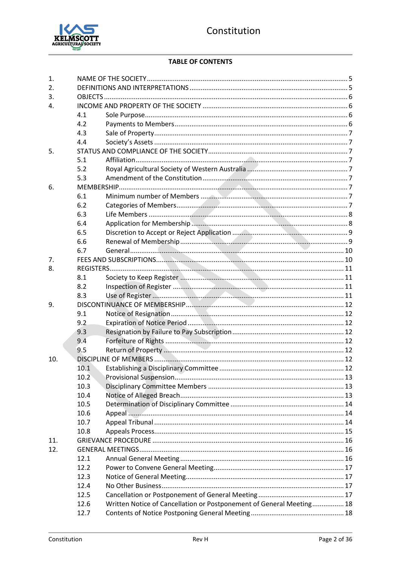

# **TABLE OF CONTENTS**

| 1.  |      |                                                                      |  |  |
|-----|------|----------------------------------------------------------------------|--|--|
| 2.  |      |                                                                      |  |  |
| 3.  |      |                                                                      |  |  |
| 4.  |      |                                                                      |  |  |
|     | 4.1  |                                                                      |  |  |
|     | 4.2  |                                                                      |  |  |
|     | 4.3  |                                                                      |  |  |
|     | 4.4  |                                                                      |  |  |
| 5.  |      |                                                                      |  |  |
|     | 5.1  |                                                                      |  |  |
|     | 5.2  |                                                                      |  |  |
|     | 5.3  |                                                                      |  |  |
| 6.  |      |                                                                      |  |  |
|     | 6.1  |                                                                      |  |  |
|     | 6.2  |                                                                      |  |  |
|     | 6.3  |                                                                      |  |  |
|     | 6.4  |                                                                      |  |  |
|     | 6.5  |                                                                      |  |  |
|     | 6.6  |                                                                      |  |  |
|     | 6.7  |                                                                      |  |  |
| 7.  |      |                                                                      |  |  |
| 8.  |      |                                                                      |  |  |
|     | 8.1  |                                                                      |  |  |
|     | 8.2  |                                                                      |  |  |
|     | 8.3  |                                                                      |  |  |
| 9.  |      |                                                                      |  |  |
|     | 9.1  |                                                                      |  |  |
|     | 9.2  |                                                                      |  |  |
|     | 9.3  |                                                                      |  |  |
|     | 9.4  |                                                                      |  |  |
|     | 9.5  |                                                                      |  |  |
| 10. |      |                                                                      |  |  |
|     | 10.1 |                                                                      |  |  |
|     | 10.2 |                                                                      |  |  |
|     | 10.3 |                                                                      |  |  |
|     | 10.4 |                                                                      |  |  |
|     | 10.5 |                                                                      |  |  |
|     | 10.6 |                                                                      |  |  |
|     | 10.7 |                                                                      |  |  |
|     | 10.8 |                                                                      |  |  |
| 11. |      |                                                                      |  |  |
| 12. |      |                                                                      |  |  |
|     | 12.1 |                                                                      |  |  |
|     | 12.2 |                                                                      |  |  |
|     | 12.3 |                                                                      |  |  |
|     | 12.4 |                                                                      |  |  |
|     | 12.5 |                                                                      |  |  |
|     | 12.6 | Written Notice of Cancellation or Postponement of General Meeting 18 |  |  |
|     | 12.7 |                                                                      |  |  |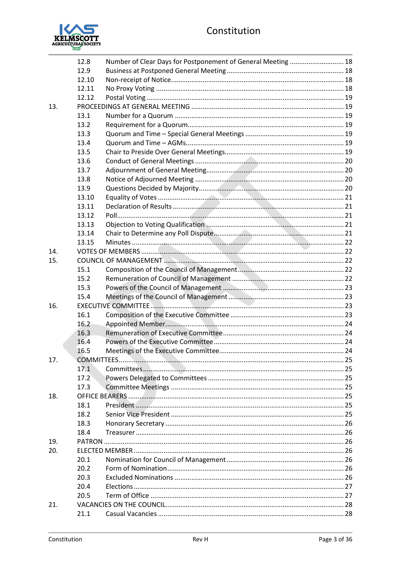

|     | 12.8               | Number of Clear Days for Postponement of General Meeting  18 |    |
|-----|--------------------|--------------------------------------------------------------|----|
|     | 12.9               |                                                              |    |
|     | 12.10              |                                                              |    |
|     | 12.11              |                                                              |    |
|     | 12.12              |                                                              |    |
| 13. |                    |                                                              |    |
|     | 13.1               |                                                              |    |
|     | 13.2               |                                                              |    |
|     | 13.3               |                                                              |    |
|     | 13.4               |                                                              |    |
|     | 13.5               |                                                              |    |
|     | 13.6               |                                                              |    |
|     | 13.7               |                                                              |    |
|     | 13.8               |                                                              |    |
|     | 13.9               |                                                              |    |
|     | 13.10              |                                                              |    |
|     | 13.11              |                                                              |    |
|     | 13.12              |                                                              |    |
|     | 13.13              |                                                              |    |
|     | 13.14              |                                                              |    |
|     | 13.15              |                                                              |    |
| 14. |                    |                                                              |    |
|     |                    |                                                              |    |
| 15. |                    |                                                              |    |
|     | 15.1               |                                                              |    |
|     | 15.2               |                                                              |    |
|     | 15.3               |                                                              |    |
|     | 15.4               |                                                              |    |
| 16. |                    |                                                              |    |
|     | 16.1               |                                                              |    |
|     | 16.2               |                                                              |    |
|     | 16.3               |                                                              |    |
|     | 16.4               |                                                              |    |
|     | 16.5               |                                                              |    |
| 17. | <b>COMMITTEES.</b> |                                                              | 25 |
|     | 17.1               |                                                              |    |
|     | 17.2               |                                                              |    |
|     | 17.3               |                                                              |    |
| 18. |                    |                                                              |    |
|     | 18.1               |                                                              |    |
|     | 18.2               |                                                              |    |
|     | 18.3               |                                                              |    |
|     | 18.4               |                                                              |    |
| 19. |                    |                                                              |    |
| 20. |                    |                                                              |    |
|     | 20.1               |                                                              |    |
|     | 20.2               |                                                              |    |
|     | 20.3               |                                                              |    |
|     | 20.4               |                                                              |    |
|     | 20.5               |                                                              |    |
| 21. |                    |                                                              |    |
|     | 21.1               |                                                              |    |
|     |                    |                                                              |    |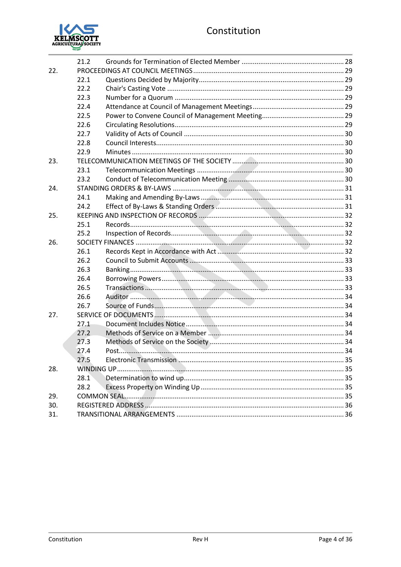

|     | 21.2 |  |      |  |
|-----|------|--|------|--|
| 22. |      |  |      |  |
|     | 22.1 |  |      |  |
|     | 22.2 |  |      |  |
|     | 22.3 |  |      |  |
|     | 22.4 |  |      |  |
|     | 22.5 |  |      |  |
|     | 22.6 |  |      |  |
|     | 22.7 |  |      |  |
|     | 22.8 |  |      |  |
|     | 22.9 |  |      |  |
| 23. |      |  |      |  |
|     | 23.1 |  |      |  |
|     | 23.2 |  |      |  |
| 24. |      |  |      |  |
|     | 24.1 |  |      |  |
|     | 24.2 |  |      |  |
| 25. |      |  |      |  |
|     | 25.1 |  |      |  |
|     | 25.2 |  |      |  |
| 26. |      |  |      |  |
|     | 26.1 |  |      |  |
|     | 26.2 |  |      |  |
|     | 26.3 |  |      |  |
|     | 26.4 |  |      |  |
|     | 26.5 |  |      |  |
|     | 26.6 |  |      |  |
|     | 26.7 |  |      |  |
| 27. |      |  |      |  |
|     | 27.1 |  |      |  |
|     | 27.2 |  |      |  |
|     | 27.3 |  |      |  |
|     | 27.4 |  |      |  |
|     | 27.5 |  | . 35 |  |
| 28. |      |  |      |  |
|     | 28.1 |  |      |  |
|     | 28.2 |  |      |  |
| 29. |      |  |      |  |
| 30. |      |  |      |  |
| 31. |      |  |      |  |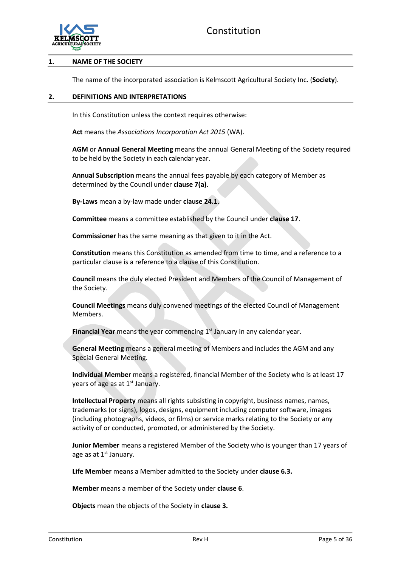

#### <span id="page-4-0"></span>**1. NAME OF THE SOCIETY**

The name of the incorporated association is Kelmscott Agricultural Society Inc. (**Society**).

#### <span id="page-4-1"></span>**2. DEFINITIONS AND INTERPRETATIONS**

In this Constitution unless the context requires otherwise:

**Act** means the *Associations Incorporation Act 2015* (WA).

**AGM** or **Annual General Meeting** means the annual General Meeting of the Society required to be held by the Society in each calendar year.

**Annual Subscription** means the annual fees payable by each category of Member as determined by the Council under **clause 7(a)**.

**By-Laws** mean a by-law made under **clause 24.1**.

**Committee** means a committee established by the Council under **clause 17**.

**Commissioner** has the same meaning as that given to it in the Act.

**Constitution** means this Constitution as amended from time to time, and a reference to a particular clause is a reference to a clause of this Constitution.

**Council** means the duly elected President and Members of the Council of Management of the Society.

**Council Meetings** means duly convened meetings of the elected Council of Management Members.

**Financial Year** means the year commencing 1<sup>st</sup> January in any calendar year.

**General Meeting** means a general meeting of Members and includes the AGM and any Special General Meeting.

**Individual Member** means a registered, financial Member of the Society who is at least 17 years of age as at  $1<sup>st</sup>$  January.

**Intellectual Property** means all rights subsisting in copyright, business names, names, trademarks (or signs), logos, designs, equipment including computer software, images (including photographs, videos, or films) or service marks relating to the Society or any activity of or conducted, promoted, or administered by the Society.

**Junior Member** means a registered Member of the Society who is younger than 17 years of age as at 1st January.

**Life Member** means a Member admitted to the Society under **clause 6.3.**

**Member** means a member of the Society under **clause 6**.

**Objects** mean the objects of the Society in **clause 3.**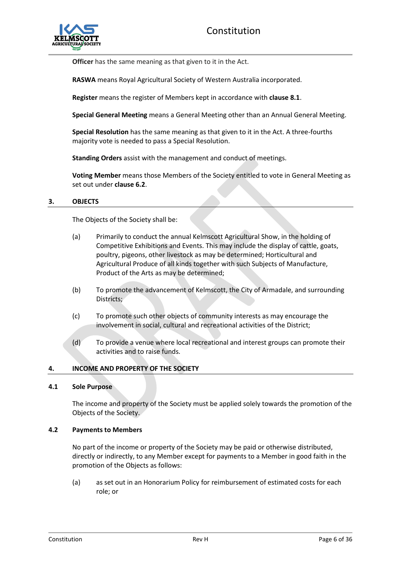

**Officer** has the same meaning as that given to it in the Act.

**RASWA** means Royal Agricultural Society of Western Australia incorporated.

**Register** means the register of Members kept in accordance with **clause 8.1**.

**Special General Meeting** means a General Meeting other than an Annual General Meeting.

**Special Resolution** has the same meaning as that given to it in the Act. A three-fourths majority vote is needed to pass a Special Resolution.

**Standing Orders** assist with the management and conduct of meetings.

**Voting Member** means those Members of the Society entitled to vote in General Meeting as set out under **clause 6.2**.

## <span id="page-5-0"></span>**3. OBJECTS**

The Objects of the Society shall be:

- (a) Primarily to conduct the annual Kelmscott Agricultural Show, in the holding of Competitive Exhibitions and Events. This may include the display of cattle, goats, poultry, pigeons, other livestock as may be determined; Horticultural and Agricultural Produce of all kinds together with such Subjects of Manufacture, Product of the Arts as may be determined;
- (b) To promote the advancement of Kelmscott, the City of Armadale, and surrounding Districts;
- (c) To promote such other objects of community interests as may encourage the involvement in social, cultural and recreational activities of the District;
- (d) To provide a venue where local recreational and interest groups can promote their activities and to raise funds.

## <span id="page-5-1"></span>**4. INCOME AND PROPERTY OF THE SOCIETY**

#### <span id="page-5-2"></span>**4.1 Sole Purpose**

The income and property of the Society must be applied solely towards the promotion of the Objects of the Society.

#### <span id="page-5-3"></span>**4.2 Payments to Members**

No part of the income or property of the Society may be paid or otherwise distributed, directly or indirectly, to any Member except for payments to a Member in good faith in the promotion of the Objects as follows:

(a) as set out in an Honorarium Policy for reimbursement of estimated costs for each role; or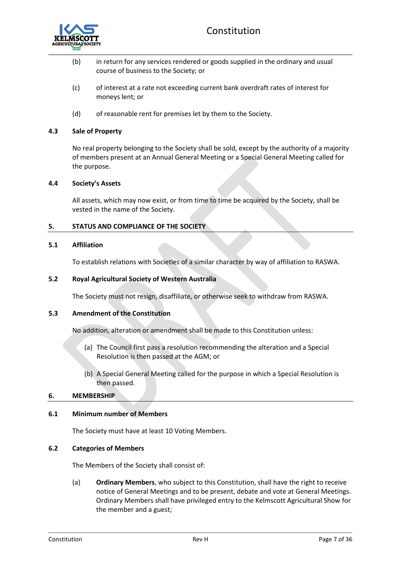

- (b) in return for any services rendered or goods supplied in the ordinary and usual course of business to the Society; or
- (c) of interest at a rate not exceeding current bank overdraft rates of interest for moneys lent; or
- (d) of reasonable rent for premises let by them to the Society.

#### <span id="page-6-0"></span>**4.3 Sale of Property**

No real property belonging to the Society shall be sold, except by the authority of a majority of members present at an Annual General Meeting or a Special General Meeting called for the purpose.

#### <span id="page-6-1"></span>**4.4 Society's Assets**

All assets, which may now exist, or from time to time be acquired by the Society, shall be vested in the name of the Society.

#### <span id="page-6-2"></span>**5. STATUS AND COMPLIANCE OF THE SOCIETY**

#### <span id="page-6-3"></span>**5.1 Affiliation**

To establish relations with Societies of a similar character by way of affiliation to RASWA.

#### <span id="page-6-4"></span>**5.2 Royal Agricultural Society of Western Australia**

The Society must not resign, disaffiliate, or otherwise seek to withdraw from RASWA.

#### <span id="page-6-5"></span>**5.3 Amendment of the Constitution**

No addition, alteration or amendment shall be made to this Constitution unless:

- (a) The Council first pass a resolution recommending the alteration and a Special Resolution is then passed at the AGM; or
- (b) A Special General Meeting called for the purpose in which a Special Resolution is then passed.

#### <span id="page-6-6"></span>**6. MEMBERSHIP**

#### <span id="page-6-7"></span>**6.1 Minimum number of Members**

The Society must have at least 10 Voting Members.

#### <span id="page-6-8"></span>**6.2 Categories of Members**

The Members of the Society shall consist of:

(a) **Ordinary Members**, who subject to this Constitution, shall have the right to receive notice of General Meetings and to be present, debate and vote at General Meetings. Ordinary Members shall have privileged entry to the Kelmscott Agricultural Show for the member and a guest;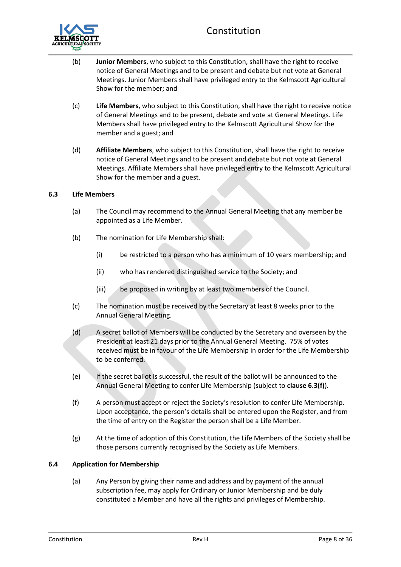

- (b) **Junior Members**, who subject to this Constitution, shall have the right to receive notice of General Meetings and to be present and debate but not vote at General Meetings. Junior Members shall have privileged entry to the Kelmscott Agricultural Show for the member; and
- (c) **Life Members**, who subject to this Constitution, shall have the right to receive notice of General Meetings and to be present, debate and vote at General Meetings. Life Members shall have privileged entry to the Kelmscott Agricultural Show for the member and a guest; and
- (d) **Affiliate Members**, who subject to this Constitution, shall have the right to receive notice of General Meetings and to be present and debate but not vote at General Meetings. Affiliate Members shall have privileged entry to the Kelmscott Agricultural Show for the member and a guest.

## <span id="page-7-0"></span>**6.3 Life Members**

- (a) The Council may recommend to the Annual General Meeting that any member be appointed as a Life Member.
- (b) The nomination for Life Membership shall:
	- (i) be restricted to a person who has a minimum of 10 years membership; and
	- (ii) who has rendered distinguished service to the Society; and
	- (iii) be proposed in writing by at least two members of the Council.
- (c) The nomination must be received by the Secretary at least 8 weeks prior to the Annual General Meeting.
- (d) A secret ballot of Members will be conducted by the Secretary and overseen by the President at least 21 days prior to the Annual General Meeting. 75% of votes received must be in favour of the Life Membership in order for the Life Membership to be conferred.
- (e) If the secret ballot is successful, the result of the ballot will be announced to the Annual General Meeting to confer Life Membership (subject to **clause 6.3(f)**).
- (f) A person must accept or reject the Society's resolution to confer Life Membership. Upon acceptance, the person's details shall be entered upon the Register, and from the time of entry on the Register the person shall be a Life Member.
- (g) At the time of adoption of this Constitution, the Life Members of the Society shall be those persons currently recognised by the Society as Life Members.

#### <span id="page-7-1"></span>**6.4 Application for Membership**

(a) Any Person by giving their name and address and by payment of the annual subscription fee, may apply for Ordinary or Junior Membership and be duly constituted a Member and have all the rights and privileges of Membership.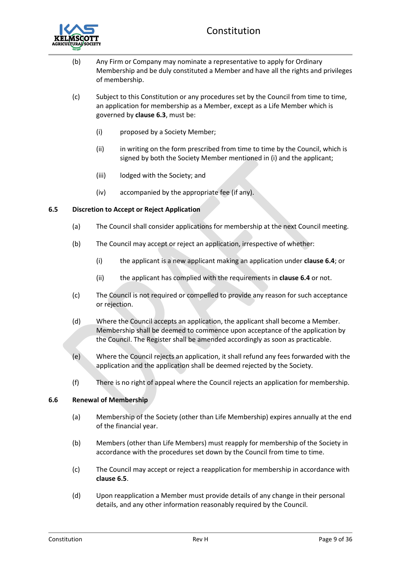

- (b) Any Firm or Company may nominate a representative to apply for Ordinary Membership and be duly constituted a Member and have all the rights and privileges of membership.
- (c) Subject to this Constitution or any procedures set by the Council from time to time, an application for membership as a Member, except as a Life Member which is governed by **clause [6.3](#page-7-0)**, must be:
	- (i) proposed by a Society Member;
	- (ii) in writing on the form prescribed from time to time by the Council, which is signed by both the Society Member mentioned in (i) and the applicant;
	- (iii) lodged with the Society; and
	- (iv) accompanied by the appropriate fee (if any).

## <span id="page-8-0"></span>**6.5 Discretion to Accept or Reject Application**

- (a) The Council shall consider applications for membership at the next Council meeting.
- (b) The Council may accept or reject an application, irrespective of whether:
	- (i) the applicant is a new applicant making an application under **claus[e 6.4](#page-7-1)**; or
	- (ii) the applicant has complied with the requirements in **clause [6.4](#page-7-1)** or not.
- (c) The Council is not required or compelled to provide any reason for such acceptance or rejection.
- (d) Where the Council accepts an application, the applicant shall become a Member. Membership shall be deemed to commence upon acceptance of the application by the Council. The Register shall be amended accordingly as soon as practicable.
- (e) Where the Council rejects an application, it shall refund any fees forwarded with the application and the application shall be deemed rejected by the Society.
- (f) There is no right of appeal where the Council rejects an application for membership.

#### <span id="page-8-1"></span>**6.6 Renewal of Membership**

- (a) Membership of the Society (other than Life Membership) expires annually at the end of the financial year.
- (b) Members (other than Life Members) must reapply for membership of the Society in accordance with the procedures set down by the Council from time to time.
- (c) The Council may accept or reject a reapplication for membership in accordance with **clause [6.5](#page-8-0)**.
- (d) Upon reapplication a Member must provide details of any change in their personal details, and any other information reasonably required by the Council.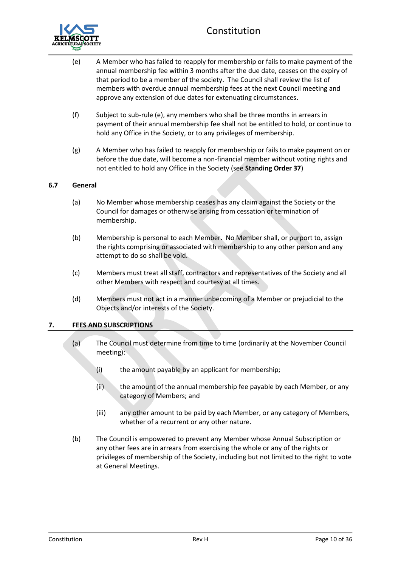

- (e) A Member who has failed to reapply for membership or fails to make payment of the annual membership fee within 3 months after the due date, ceases on the expiry of that period to be a member of the society. The Council shall review the list of members with overdue annual membership fees at the next Council meeting and approve any extension of due dates for extenuating circumstances.
- (f) Subject to sub-rule (e), any members who shall be three months in arrears in payment of their annual membership fee shall not be entitled to hold, or continue to hold any Office in the Society, or to any privileges of membership.
- (g) A Member who has failed to reapply for membership or fails to make payment on or before the due date, will become a non-financial member without voting rights and not entitled to hold any Office in the Society (see **Standing Order 37**)

## <span id="page-9-0"></span>**6.7 General**

- (a) No Member whose membership ceases has any claim against the Society or the Council for damages or otherwise arising from cessation or termination of membership.
- (b) Membership is personal to each Member. No Member shall, or purport to, assign the rights comprising or associated with membership to any other person and any attempt to do so shall be void.
- (c) Members must treat all staff, contractors and representatives of the Society and all other Members with respect and courtesy at all times.
- (d) Members must not act in a manner unbecoming of a Member or prejudicial to the Objects and/or interests of the Society.

## <span id="page-9-1"></span>**7. FEES AND SUBSCRIPTIONS**

- (a) The Council must determine from time to time (ordinarily at the November Council meeting):
	- (i) the amount payable by an applicant for membership;
	- (ii) the amount of the annual membership fee payable by each Member, or any category of Members; and
	- (iii) any other amount to be paid by each Member, or any category of Members, whether of a recurrent or any other nature.
- (b) The Council is empowered to prevent any Member whose Annual Subscription or any other fees are in arrears from exercising the whole or any of the rights or privileges of membership of the Society, including but not limited to the right to vote at General Meetings.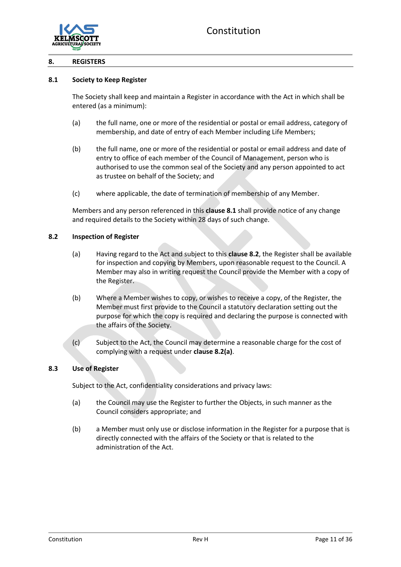

## <span id="page-10-0"></span>**8. REGISTERS**

#### <span id="page-10-1"></span>**8.1 Society to Keep Register**

The Society shall keep and maintain a Register in accordance with the Act in which shall be entered (as a minimum):

- (a) the full name, one or more of the residential or postal or email address, category of membership, and date of entry of each Member including Life Members;
- (b) the full name, one or more of the residential or postal or email address and date of entry to office of each member of the Council of Management, person who is authorised to use the common seal of the Society and any person appointed to act as trustee on behalf of the Society; and
- (c) where applicable, the date of termination of membership of any Member.

Members and any person referenced in this **claus[e 8.1](#page-10-1)** shall provide notice of any change and required details to the Society within 28 days of such change.

#### <span id="page-10-4"></span><span id="page-10-2"></span>**8.2 Inspection of Register**

- (a) Having regard to the Act and subject to this **clause [8.2](#page-10-2)**, the Register shall be available for inspection and copying by Members, upon reasonable request to the Council. A Member may also in writing request the Council provide the Member with a copy of the Register.
- (b) Where a Member wishes to copy, or wishes to receive a copy, of the Register, the Member must first provide to the Council a statutory declaration setting out the purpose for which the copy is required and declaring the purpose is connected with the affairs of the Society.
- (c) Subject to the Act, the Council may determine a reasonable charge for the cost of complying with a request under **claus[e 8.2\(a\)](#page-10-4)**.

## <span id="page-10-3"></span>**8.3 Use of Register**

Subject to the Act, confidentiality considerations and privacy laws:

- (a) the Council may use the Register to further the Objects, in such manner as the Council considers appropriate; and
- (b) a Member must only use or disclose information in the Register for a purpose that is directly connected with the affairs of the Society or that is related to the administration of the Act.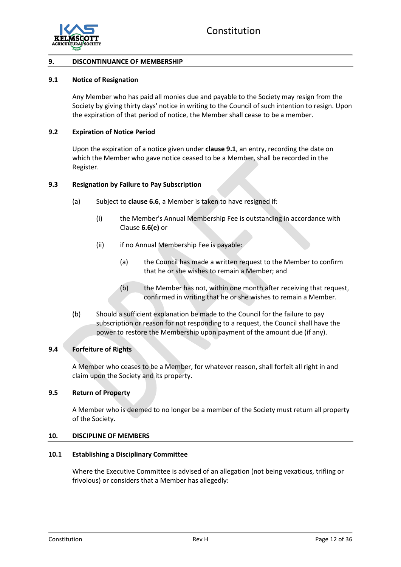

#### <span id="page-11-0"></span>**9. DISCONTINUANCE OF MEMBERSHIP**

#### <span id="page-11-1"></span>**9.1 Notice of Resignation**

Any Member who has paid all monies due and payable to the Society may resign from the Society by giving thirty days' notice in writing to the Council of such intention to resign. Upon the expiration of that period of notice, the Member shall cease to be a member.

#### <span id="page-11-2"></span>**9.2 Expiration of Notice Period**

Upon the expiration of a notice given under **clause [9.1](#page-11-1)**, an entry, recording the date on which the Member who gave notice ceased to be a Member, shall be recorded in the Register.

#### <span id="page-11-3"></span>**9.3 Resignation by Failure to Pay Subscription**

- (a) Subject to **clause 6.6**, a Member is taken to have resigned if:
	- (i) the Member's Annual Membership Fee is outstanding in accordance with Clause **6.6(e)** or
	- (ii) if no Annual Membership Fee is payable:
		- (a) the Council has made a written request to the Member to confirm that he or she wishes to remain a Member; and
		- (b) the Member has not, within one month after receiving that request, confirmed in writing that he or she wishes to remain a Member.
- (b) Should a sufficient explanation be made to the Council for the failure to pay subscription or reason for not responding to a request, the Council shall have the power to restore the Membership upon payment of the amount due (if any).

## <span id="page-11-4"></span>**9.4 Forfeiture of Rights**

A Member who ceases to be a Member, for whatever reason, shall forfeit all right in and claim upon the Society and its property.

## <span id="page-11-5"></span>**9.5 Return of Property**

A Member who is deemed to no longer be a member of the Society must return all property of the Society.

#### <span id="page-11-6"></span>**10. DISCIPLINE OF MEMBERS**

#### <span id="page-11-7"></span>**10.1 Establishing a Disciplinary Committee**

Where the Executive Committee is advised of an allegation (not being vexatious, trifling or frivolous) or considers that a Member has allegedly: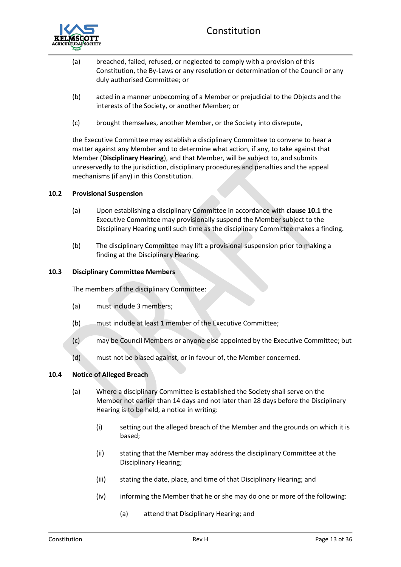

- (a) breached, failed, refused, or neglected to comply with a provision of this Constitution, the By-Laws or any resolution or determination of the Council or any duly authorised Committee; or
- (b) acted in a manner unbecoming of a Member or prejudicial to the Objects and the interests of the Society, or another Member; or
- (c) brought themselves, another Member, or the Society into disrepute,

the Executive Committee may establish a disciplinary Committee to convene to hear a matter against any Member and to determine what action, if any, to take against that Member (**Disciplinary Hearing**), and that Member, will be subject to, and submits unreservedly to the jurisdiction, disciplinary procedures and penalties and the appeal mechanisms (if any) in this Constitution.

#### <span id="page-12-0"></span>**10.2 Provisional Suspension**

- (a) Upon establishing a disciplinary Committee in accordance with **claus[e 10.1](#page-11-7)** the Executive Committee may provisionally suspend the Member subject to the Disciplinary Hearing until such time as the disciplinary Committee makes a finding.
- (b) The disciplinary Committee may lift a provisional suspension prior to making a finding at the Disciplinary Hearing.

#### <span id="page-12-1"></span>**10.3 Disciplinary Committee Members**

The members of the disciplinary Committee:

- (a) must include 3 members;
- (b) must include at least 1 member of the Executive Committee;
- (c) may be Council Members or anyone else appointed by the Executive Committee; but
- (d) must not be biased against, or in favour of, the Member concerned.

#### <span id="page-12-2"></span>**10.4 Notice of Alleged Breach**

- (a) Where a disciplinary Committee is established the Society shall serve on the Member not earlier than 14 days and not later than 28 days before the Disciplinary Hearing is to be held, a notice in writing:
	- (i) setting out the alleged breach of the Member and the grounds on which it is based;
	- (ii) stating that the Member may address the disciplinary Committee at the Disciplinary Hearing;
	- (iii) stating the date, place, and time of that Disciplinary Hearing; and
	- (iv) informing the Member that he or she may do one or more of the following:
		- (a) attend that Disciplinary Hearing; and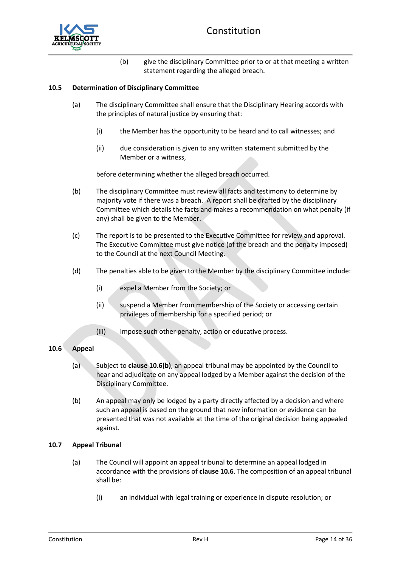

(b) give the disciplinary Committee prior to or at that meeting a written statement regarding the alleged breach.

## <span id="page-13-0"></span>**10.5 Determination of Disciplinary Committee**

- (a) The disciplinary Committee shall ensure that the Disciplinary Hearing accords with the principles of natural justice by ensuring that:
	- (i) the Member has the opportunity to be heard and to call witnesses; and
	- (ii) due consideration is given to any written statement submitted by the Member or a witness,

before determining whether the alleged breach occurred.

- (b) The disciplinary Committee must review all facts and testimony to determine by majority vote if there was a breach. A report shall be drafted by the disciplinary Committee which details the facts and makes a recommendation on what penalty (if any) shall be given to the Member.
- (c) The report is to be presented to the Executive Committee for review and approval. The Executive Committee must give notice (of the breach and the penalty imposed) to the Council at the next Council Meeting.
- <span id="page-13-5"></span>(d) The penalties able to be given to the Member by the disciplinary Committee include:
	- (i) expel a Member from the Society; or
	- (ii) suspend a Member from membership of the Society or accessing certain privileges of membership for a specified period; or
	- (iii) impose such other penalty, action or educative process.

#### <span id="page-13-1"></span>**10.6 Appeal**

- (a) Subject to **claus[e 10.6\(b\)](#page-13-3)**, an appeal tribunal may be appointed by the Council to hear and adjudicate on any appeal lodged by a Member against the decision of the Disciplinary Committee.
- <span id="page-13-3"></span>(b) An appeal may only be lodged by a party directly affected by a decision and where such an appeal is based on the ground that new information or evidence can be presented that was not available at the time of the original decision being appealed against.

#### <span id="page-13-4"></span><span id="page-13-2"></span>**10.7 Appeal Tribunal**

- (a) The Council will appoint an appeal tribunal to determine an appeal lodged in accordance with the provisions of **clause [10.6](#page-13-1)**. The composition of an appeal tribunal shall be:
	- (i) an individual with legal training or experience in dispute resolution; or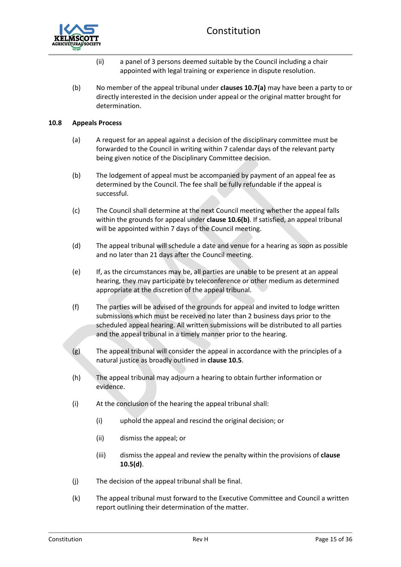

- (ii) a panel of 3 persons deemed suitable by the Council including a chair appointed with legal training or experience in dispute resolution.
- (b) No member of the appeal tribunal under **clauses [10.7\(a\)](#page-13-4)** may have been a party to or directly interested in the decision under appeal or the original matter brought for determination.

#### <span id="page-14-0"></span>**10.8 Appeals Process**

- (a) A request for an appeal against a decision of the disciplinary committee must be forwarded to the Council in writing within 7 calendar days of the relevant party being given notice of the Disciplinary Committee decision.
- (b) The lodgement of appeal must be accompanied by payment of an appeal fee as determined by the Council. The fee shall be fully refundable if the appeal is successful.
- (c) The Council shall determine at the next Council meeting whether the appeal falls within the grounds for appeal under **clause [10.6\(b\)](#page-13-3)**. If satisfied, an appeal tribunal will be appointed within 7 days of the Council meeting.
- (d) The appeal tribunal will schedule a date and venue for a hearing as soon as possible and no later than 21 days after the Council meeting.
- (e) If, as the circumstances may be, all parties are unable to be present at an appeal hearing, they may participate by teleconference or other medium as determined appropriate at the discretion of the appeal tribunal.
- (f) The parties will be advised of the grounds for appeal and invited to lodge written submissions which must be received no later than 2 business days prior to the scheduled appeal hearing. All written submissions will be distributed to all parties and the appeal tribunal in a timely manner prior to the hearing.
- (g) The appeal tribunal will consider the appeal in accordance with the principles of a natural justice as broadly outlined in **clause [10.5](#page-13-0)**.
- (h) The appeal tribunal may adjourn a hearing to obtain further information or evidence.
- (i) At the conclusion of the hearing the appeal tribunal shall:
	- (i) uphold the appeal and rescind the original decision; or
	- (ii) dismiss the appeal; or
	- (iii) dismiss the appeal and review the penalty within the provisions of **clause [10.5\(d\)](#page-13-5)**.
- (j) The decision of the appeal tribunal shall be final.
- (k) The appeal tribunal must forward to the Executive Committee and Council a written report outlining their determination of the matter.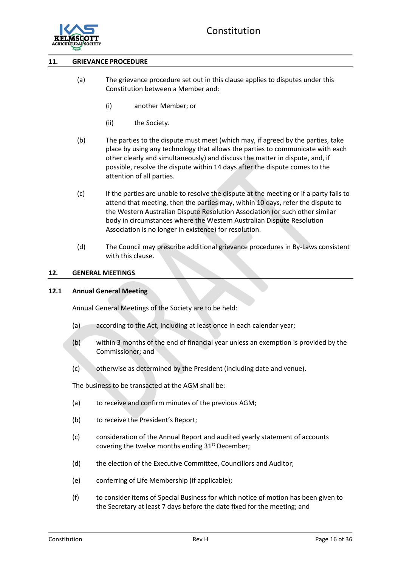

#### <span id="page-15-0"></span>**11. GRIEVANCE PROCEDURE**

- (a) The grievance procedure set out in this clause applies to disputes under this Constitution between a Member and:
	- (i) another Member; or
	- (ii) the Society.
- (b) The parties to the dispute must meet (which may, if agreed by the parties, take place by using any technology that allows the parties to communicate with each other clearly and simultaneously) and discuss the matter in dispute, and, if possible, resolve the dispute within 14 days after the dispute comes to the attention of all parties.
- (c) If the parties are unable to resolve the dispute at the meeting or if a party fails to attend that meeting, then the parties may, within 10 days, refer the dispute to the Western Australian Dispute Resolution Association (or such other similar body in circumstances where the Western Australian Dispute Resolution Association is no longer in existence) for resolution.
- (d) The Council may prescribe additional grievance procedures in By-Laws consistent with this clause.

#### <span id="page-15-1"></span>**12. GENERAL MEETINGS**

#### <span id="page-15-2"></span>**12.1 Annual General Meeting**

Annual General Meetings of the Society are to be held:

- (a) according to the Act, including at least once in each calendar year;
- (b) within 3 months of the end of financial year unless an exemption is provided by the Commissioner; and
- (c) otherwise as determined by the President (including date and venue).

The business to be transacted at the AGM shall be:

- (a) to receive and confirm minutes of the previous AGM;
- (b) to receive the President's Report;
- (c) consideration of the Annual Report and audited yearly statement of accounts covering the twelve months ending  $31<sup>st</sup>$  December;
- (d) the election of the Executive Committee, Councillors and Auditor;
- (e) conferring of Life Membership (if applicable);
- (f) to consider items of Special Business for which notice of motion has been given to the Secretary at least 7 days before the date fixed for the meeting; and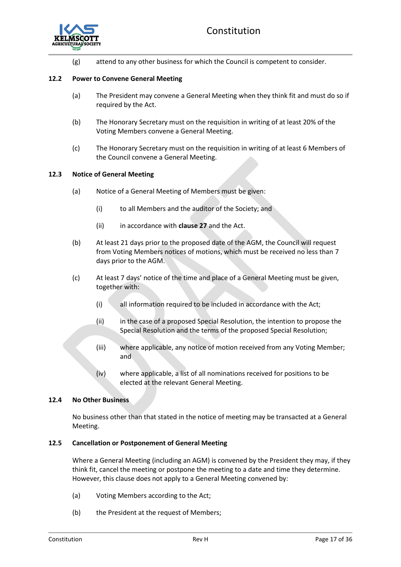

(g) attend to any other business for which the Council is competent to consider.

## <span id="page-16-0"></span>**12.2 Power to Convene General Meeting**

- (a) The President may convene a General Meeting when they think fit and must do so if required by the Act.
- (b) The Honorary Secretary must on the requisition in writing of at least 20% of the Voting Members convene a General Meeting.
- (c) The Honorary Secretary must on the requisition in writing of at least 6 Members of the Council convene a General Meeting.

## <span id="page-16-1"></span>**12.3 Notice of General Meeting**

- (a) Notice of a General Meeting of Members must be given:
	- (i) to all Members and the auditor of the Society; and
	- (ii) in accordance with **clause 27** and the Act.
- (b) At least 21 days prior to the proposed date of the AGM, the Council will request from Voting Members notices of motions, which must be received no less than 7 days prior to the AGM.
- (c) At least 7 days' notice of the time and place of a General Meeting must be given, together with:
	- (i) all information required to be included in accordance with the Act;
	- (ii) in the case of a proposed Special Resolution, the intention to propose the Special Resolution and the terms of the proposed Special Resolution;
	- (iii) where applicable, any notice of motion received from any Voting Member; and
	- (iv) where applicable, a list of all nominations received for positions to be elected at the relevant General Meeting.

#### <span id="page-16-2"></span>**12.4 No Other Business**

No business other than that stated in the notice of meeting may be transacted at a General Meeting.

#### <span id="page-16-3"></span>**12.5 Cancellation or Postponement of General Meeting**

Where a General Meeting (including an AGM) is convened by the President they may, if they think fit, cancel the meeting or postpone the meeting to a date and time they determine. However, this clause does not apply to a General Meeting convened by:

- (a) Voting Members according to the Act;
- (b) the President at the request of Members;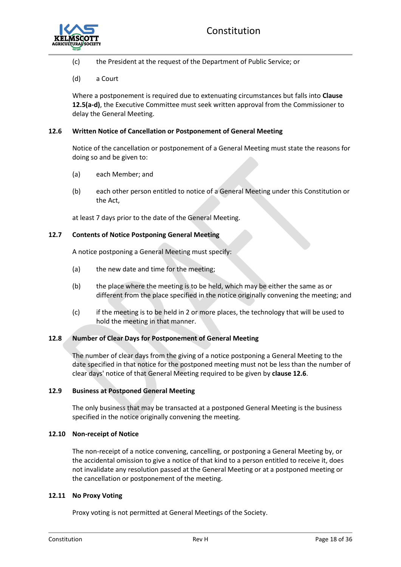

(c) the President at the request of the Department of Public Service; or

## (d) a Court

Where a postponement is required due to extenuating circumstances but falls into **Clause 12.5(a-d)**, the Executive Committee must seek written approval from the Commissioner to delay the General Meeting.

## <span id="page-17-0"></span>**12.6 Written Notice of Cancellation or Postponement of General Meeting**

Notice of the cancellation or postponement of a General Meeting must state the reasons for doing so and be given to:

- (a) each Member; and
- (b) each other person entitled to notice of a General Meeting under this Constitution or the Act,

at least 7 days prior to the date of the General Meeting.

## <span id="page-17-1"></span>**12.7 Contents of Notice Postponing General Meeting**

A notice postponing a General Meeting must specify:

- (a) the new date and time for the meeting;
- (b) the place where the meeting is to be held, which may be either the same as or different from the place specified in the notice originally convening the meeting; and
- (c) if the meeting is to be held in 2 or more places, the technology that will be used to hold the meeting in that manner.

## <span id="page-17-2"></span>**12.8 Number of Clear Days for Postponement of General Meeting**

The number of clear days from the giving of a notice postponing a General Meeting to the date specified in that notice for the postponed meeting must not be less than the number of clear days' notice of that General Meeting required to be given by **clause [12.6](#page-17-0)**.

## <span id="page-17-3"></span>**12.9 Business at Postponed General Meeting**

The only business that may be transacted at a postponed General Meeting is the business specified in the notice originally convening the meeting.

## <span id="page-17-4"></span>**12.10 Non-receipt of Notice**

The non-receipt of a notice convening, cancelling, or postponing a General Meeting by, or the accidental omission to give a notice of that kind to a person entitled to receive it, does not invalidate any resolution passed at the General Meeting or at a postponed meeting or the cancellation or postponement of the meeting.

## <span id="page-17-5"></span>**12.11 No Proxy Voting**

Proxy voting is not permitted at General Meetings of the Society.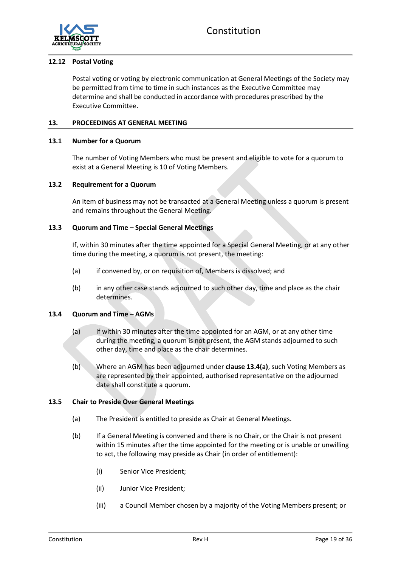

## <span id="page-18-0"></span>**12.12 Postal Voting**

Postal voting or voting by electronic communication at General Meetings of the Society may be permitted from time to time in such instances as the Executive Committee may determine and shall be conducted in accordance with procedures prescribed by the Executive Committee.

#### <span id="page-18-1"></span>**13. PROCEEDINGS AT GENERAL MEETING**

#### <span id="page-18-2"></span>**13.1 Number for a Quorum**

The number of Voting Members who must be present and eligible to vote for a quorum to exist at a General Meeting is 10 of Voting Members.

#### <span id="page-18-3"></span>**13.2 Requirement for a Quorum**

An item of business may not be transacted at a General Meeting unless a quorum is present and remains throughout the General Meeting.

#### <span id="page-18-4"></span>**13.3 Quorum and Time – Special General Meetings**

If, within 30 minutes after the time appointed for a Special General Meeting, or at any other time during the meeting, a quorum is not present, the meeting:

- (a) if convened by, or on requisition of, Members is dissolved; and
- (b) in any other case stands adjourned to such other day, time and place as the chair determines.

## <span id="page-18-7"></span><span id="page-18-5"></span>**13.4 Quorum and Time – AGMs**

- (a) If within 30 minutes after the time appointed for an AGM, or at any other time during the meeting, a quorum is not present, the AGM stands adjourned to such other day, time and place as the chair determines.
- (b) Where an AGM has been adjourned under **clause [13.4\(a\)](#page-18-7)**, such Voting Members as are represented by their appointed, authorised representative on the adjourned date shall constitute a quorum.

## <span id="page-18-6"></span>**13.5 Chair to Preside Over General Meetings**

- (a) The President is entitled to preside as Chair at General Meetings.
- (b) If a General Meeting is convened and there is no Chair, or the Chair is not present within 15 minutes after the time appointed for the meeting or is unable or unwilling to act, the following may preside as Chair (in order of entitlement):
	- (i) Senior Vice President;
	- (ii) Junior Vice President;
	- (iii) a Council Member chosen by a majority of the Voting Members present; or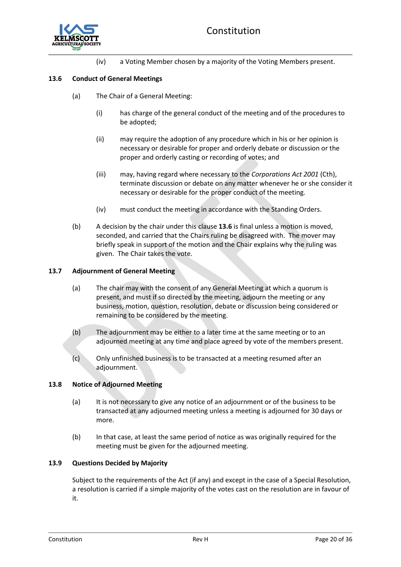

(iv) a Voting Member chosen by a majority of the Voting Members present.

## <span id="page-19-0"></span>**13.6 Conduct of General Meetings**

- (a) The Chair of a General Meeting:
	- (i) has charge of the general conduct of the meeting and of the procedures to be adopted;
	- (ii) may require the adoption of any procedure which in his or her opinion is necessary or desirable for proper and orderly debate or discussion or the proper and orderly casting or recording of votes; and
	- (iii) may, having regard where necessary to the *Corporations Act 2001* (Cth), terminate discussion or debate on any matter whenever he or she consider it necessary or desirable for the proper conduct of the meeting.
	- (iv) must conduct the meeting in accordance with the Standing Orders.
- (b) A decision by the chair under this clause **[13.6](#page-19-0)** is final unless a motion is moved, seconded, and carried that the Chairs ruling be disagreed with. The mover may briefly speak in support of the motion and the Chair explains why the ruling was given. The Chair takes the vote.

## <span id="page-19-1"></span>**13.7 Adjournment of General Meeting**

- (a) The chair may with the consent of any General Meeting at which a quorum is present, and must if so directed by the meeting, adjourn the meeting or any business, motion, question, resolution, debate or discussion being considered or remaining to be considered by the meeting.
- (b) The adjournment may be either to a later time at the same meeting or to an adjourned meeting at any time and place agreed by vote of the members present.
- (c) Only unfinished business is to be transacted at a meeting resumed after an adjournment.

## <span id="page-19-2"></span>**13.8 Notice of Adjourned Meeting**

- (a) It is not necessary to give any notice of an adjournment or of the business to be transacted at any adjourned meeting unless a meeting is adjourned for 30 days or more.
- (b) In that case, at least the same period of notice as was originally required for the meeting must be given for the adjourned meeting.

## <span id="page-19-3"></span>**13.9 Questions Decided by Majority**

Subject to the requirements of the Act (if any) and except in the case of a Special Resolution, a resolution is carried if a simple majority of the votes cast on the resolution are in favour of it.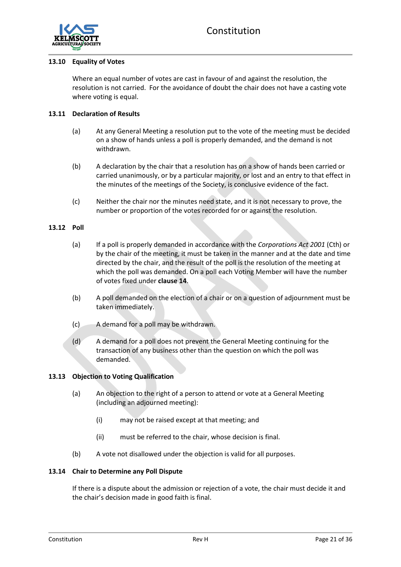

#### <span id="page-20-0"></span>**13.10 Equality of Votes**

Where an equal number of votes are cast in favour of and against the resolution, the resolution is not carried. For the avoidance of doubt the chair does not have a casting vote where voting is equal.

## <span id="page-20-1"></span>**13.11 Declaration of Results**

- (a) At any General Meeting a resolution put to the vote of the meeting must be decided on a show of hands unless a poll is properly demanded, and the demand is not withdrawn.
- (b) A declaration by the chair that a resolution has on a show of hands been carried or carried unanimously, or by a particular majority, or lost and an entry to that effect in the minutes of the meetings of the Society, is conclusive evidence of the fact.
- (c) Neither the chair nor the minutes need state, and it is not necessary to prove, the number or proportion of the votes recorded for or against the resolution.

## <span id="page-20-2"></span>**13.12 Poll**

- (a) If a poll is properly demanded in accordance with the *Corporations Act 2001* (Cth) or by the chair of the meeting, it must be taken in the manner and at the date and time directed by the chair, and the result of the poll is the resolution of the meeting at which the poll was demanded. On a poll each Voting Member will have the number of votes fixed under **clause [14](#page-21-1)**.
- (b) A poll demanded on the election of a chair or on a question of adjournment must be taken immediately.
- (c) A demand for a poll may be withdrawn.
- (d) A demand for a poll does not prevent the General Meeting continuing for the transaction of any business other than the question on which the poll was demanded.

## <span id="page-20-3"></span>**13.13 Objection to Voting Qualification**

- (a) An objection to the right of a person to attend or vote at a General Meeting (including an adjourned meeting):
	- (i) may not be raised except at that meeting; and
	- (ii) must be referred to the chair, whose decision is final.
- (b) A vote not disallowed under the objection is valid for all purposes.

## <span id="page-20-4"></span>**13.14 Chair to Determine any Poll Dispute**

If there is a dispute about the admission or rejection of a vote, the chair must decide it and the chair's decision made in good faith is final.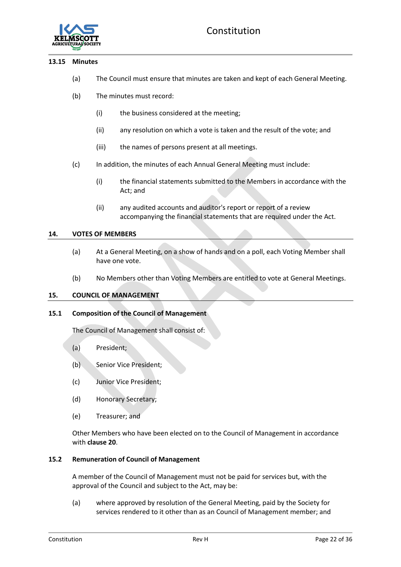

#### <span id="page-21-0"></span>**13.15 Minutes**

- (a) The Council must ensure that minutes are taken and kept of each General Meeting.
- (b) The minutes must record:
	- (i) the business considered at the meeting;
	- (ii) any resolution on which a vote is taken and the result of the vote; and
	- (iii) the names of persons present at all meetings.
- (c) In addition, the minutes of each Annual General Meeting must include:
	- (i) the financial statements submitted to the Members in accordance with the Act; and
	- (ii) any audited accounts and auditor's report or report of a review accompanying the financial statements that are required under the Act.

#### <span id="page-21-1"></span>**14. VOTES OF MEMBERS**

- (a) At a General Meeting, on a show of hands and on a poll, each Voting Member shall have one vote.
- (b) No Members other than Voting Members are entitled to vote at General Meetings.

## <span id="page-21-2"></span>**15. COUNCIL OF MANAGEMENT**

## <span id="page-21-3"></span>**15.1 Composition of the Council of Management**

The Council of Management shall consist of:

- (a) President;
- (b) Senior Vice President;
- (c) Junior Vice President;
- (d) Honorary Secretary;
- (e) Treasurer; and

Other Members who have been elected on to the Council of Management in accordance with **clause 20**.

## <span id="page-21-4"></span>**15.2 Remuneration of Council of Management**

A member of the Council of Management must not be paid for services but, with the approval of the Council and subject to the Act, may be:

(a) where approved by resolution of the General Meeting, paid by the Society for services rendered to it other than as an Council of Management member; and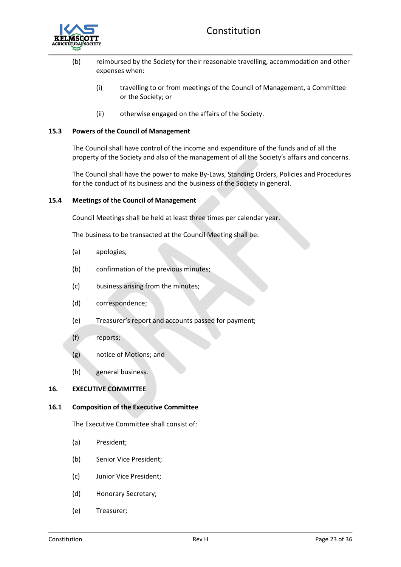

- (b) reimbursed by the Society for their reasonable travelling, accommodation and other expenses when:
	- (i) travelling to or from meetings of the Council of Management, a Committee or the Society; or
	- (ii) otherwise engaged on the affairs of the Society.

#### <span id="page-22-0"></span>**15.3 Powers of the Council of Management**

The Council shall have control of the income and expenditure of the funds and of all the property of the Society and also of the management of all the Society's affairs and concerns.

The Council shall have the power to make By-Laws, Standing Orders, Policies and Procedures for the conduct of its business and the business of the Society in general.

#### <span id="page-22-1"></span>**15.4 Meetings of the Council of Management**

Council Meetings shall be held at least three times per calendar year.

The business to be transacted at the Council Meeting shall be:

- (a) apologies;
- (b) confirmation of the previous minutes;
- (c) business arising from the minutes;
- (d) correspondence;
- (e) Treasurer's report and accounts passed for payment;
- (f) reports;
- (g) notice of Motions; and
- (h) general business.

## <span id="page-22-2"></span>**16. EXECUTIVE COMMITTEE**

## <span id="page-22-3"></span>**16.1 Composition of the Executive Committee**

The Executive Committee shall consist of:

- (a) President;
- (b) Senior Vice President;
- (c) Junior Vice President;
- (d) Honorary Secretary;
- (e) Treasurer;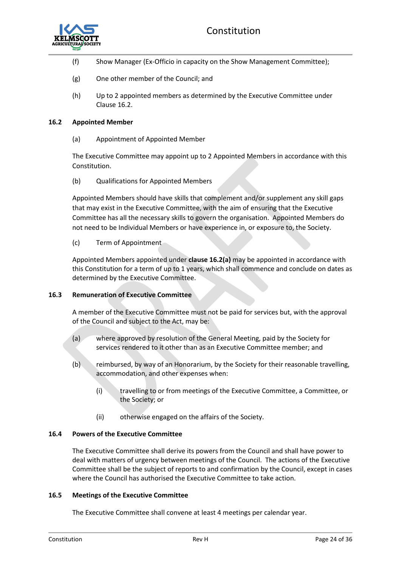

- (f) Show Manager (Ex-Officio in capacity on the Show Management Committee);
- (g) One other member of the Council; and
- (h) Up to 2 appointed members as determined by the Executive Committee under Claus[e 16.2.](#page-23-0)

## <span id="page-23-4"></span><span id="page-23-0"></span>**16.2 Appointed Member**

(a) Appointment of Appointed Member

The Executive Committee may appoint up to 2 Appointed Members in accordance with this Constitution.

(b) Qualifications for Appointed Members

Appointed Members should have skills that complement and/or supplement any skill gaps that may exist in the Executive Committee, with the aim of ensuring that the Executive Committee has all the necessary skills to govern the organisation. Appointed Members do not need to be Individual Members or have experience in, or exposure to, the Society.

(c) Term of Appointment

Appointed Members appointed under **clause [16.2\(a\)](#page-23-4)** may be appointed in accordance with this Constitution for a term of up to 1 years, which shall commence and conclude on dates as determined by the Executive Committee.

## <span id="page-23-1"></span>**16.3 Remuneration of Executive Committee**

A member of the Executive Committee must not be paid for services but, with the approval of the Council and subject to the Act, may be:

- (a) where approved by resolution of the General Meeting, paid by the Society for services rendered to it other than as an Executive Committee member; and
- (b) reimbursed, by way of an Honorarium, by the Society for their reasonable travelling, accommodation, and other expenses when:
	- (i) travelling to or from meetings of the Executive Committee, a Committee, or the Society; or
	- (ii) otherwise engaged on the affairs of the Society.

## <span id="page-23-3"></span><span id="page-23-2"></span>**16.4 Powers of the Executive Committee**

The Executive Committee shall derive its powers from the Council and shall have power to deal with matters of urgency between meetings of the Council. The actions of the Executive Committee shall be the subject of reports to and confirmation by the Council, except in cases where the Council has authorised the Executive Committee to take action.

## **16.5 Meetings of the Executive Committee**

The Executive Committee shall convene at least 4 meetings per calendar year.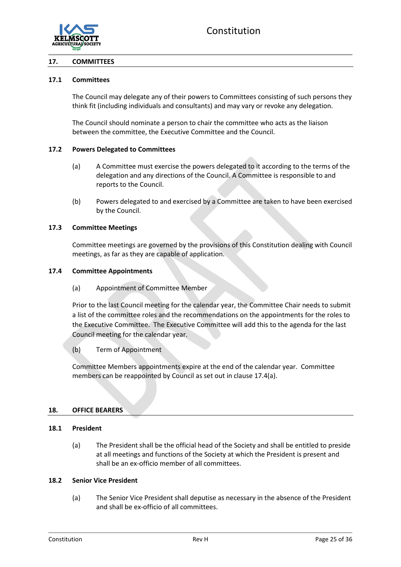

## <span id="page-24-0"></span>**17. COMMITTEES**

#### <span id="page-24-1"></span>**17.1 Committees**

The Council may delegate any of their powers to Committees consisting of such persons they think fit (including individuals and consultants) and may vary or revoke any delegation.

The Council should nominate a person to chair the committee who acts as the liaison between the committee, the Executive Committee and the Council.

#### <span id="page-24-2"></span>**17.2 Powers Delegated to Committees**

- (a) A Committee must exercise the powers delegated to it according to the terms of the delegation and any directions of the Council. A Committee is responsible to and reports to the Council.
- (b) Powers delegated to and exercised by a Committee are taken to have been exercised by the Council.

#### <span id="page-24-3"></span>**17.3 Committee Meetings**

Committee meetings are governed by the provisions of this Constitution dealing with Council meetings, as far as they are capable of application.

#### **17.4 Committee Appointments**

(a) Appointment of Committee Member

Prior to the last Council meeting for the calendar year, the Committee Chair needs to submit a list of the committee roles and the recommendations on the appointments for the roles to the Executive Committee. The Executive Committee will add this to the agenda for the last Council meeting for the calendar year.

## (b) Term of Appointment

Committee Members appointments expire at the end of the calendar year. Committee members can be reappointed by Council as set out in clause 17.4(a).

#### <span id="page-24-4"></span>**18. OFFICE BEARERS**

#### <span id="page-24-5"></span>**18.1 President**

(a) The President shall be the official head of the Society and shall be entitled to preside at all meetings and functions of the Society at which the President is present and shall be an ex-officio member of all committees.

#### <span id="page-24-6"></span>**18.2 Senior Vice President**

(a) The Senior Vice President shall deputise as necessary in the absence of the President and shall be ex-officio of all committees.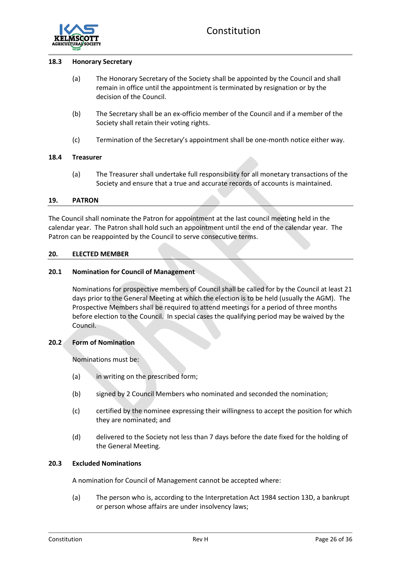

#### <span id="page-25-0"></span>**18.3 Honorary Secretary**

- (a) The Honorary Secretary of the Society shall be appointed by the Council and shall remain in office until the appointment is terminated by resignation or by the decision of the Council.
- (b) The Secretary shall be an ex-officio member of the Council and if a member of the Society shall retain their voting rights.
- (c) Termination of the Secretary's appointment shall be one-month notice either way.

#### <span id="page-25-1"></span>**18.4 Treasurer**

(a) The Treasurer shall undertake full responsibility for all monetary transactions of the Society and ensure that a true and accurate records of accounts is maintained.

#### <span id="page-25-2"></span>**19. PATRON**

The Council shall nominate the Patron for appointment at the last council meeting held in the calendar year. The Patron shall hold such an appointment until the end of the calendar year. The Patron can be reappointed by the Council to serve consecutive terms.

#### <span id="page-25-3"></span>**20. ELECTED MEMBER**

#### <span id="page-25-4"></span>**20.1 Nomination for Council of Management**

Nominations for prospective members of Council shall be called for by the Council at least 21 days prior to the General Meeting at which the election is to be held (usually the AGM). The Prospective Members shall be required to attend meetings for a period of three months before election to the Council. In special cases the qualifying period may be waived by the Council.

## <span id="page-25-5"></span>**20.2 Form of Nomination**

Nominations must be:

- (a) in writing on the prescribed form;
- (b) signed by 2 Council Members who nominated and seconded the nomination;
- (c) certified by the nominee expressing their willingness to accept the position for which they are nominated; and
- (d) delivered to the Society not less than 7 days before the date fixed for the holding of the General Meeting.

#### <span id="page-25-6"></span>**20.3 Excluded Nominations**

A nomination for Council of Management cannot be accepted where:

(a) The person who is, according to the Interpretation Act 1984 section 13D, a bankrupt or person whose affairs are under insolvency laws;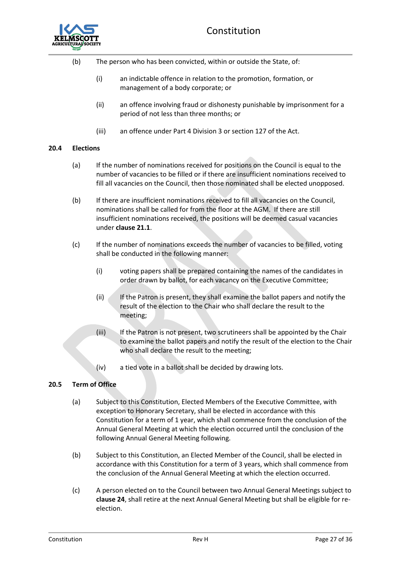- (b) The person who has been convicted, within or outside the State, of:
	- (i) an indictable offence in relation to the promotion, formation, or management of a body corporate; or
	- (ii) an offence involving fraud or dishonesty punishable by imprisonment for a period of not less than three months; or
	- (iii) an offence under Part 4 Division 3 or section 127 of the Act.

## <span id="page-26-0"></span>**20.4 Elections**

- (a) If the number of nominations received for positions on the Council is equal to the number of vacancies to be filled or if there are insufficient nominations received to fill all vacancies on the Council, then those nominated shall be elected unopposed.
- (b) If there are insufficient nominations received to fill all vacancies on the Council, nominations shall be called for from the floor at the AGM. If there are still insufficient nominations received, the positions will be deemed casual vacancies under **clause [21.1](#page-27-1)**.
- (c) If the number of nominations exceeds the number of vacancies to be filled, voting shall be conducted in the following manner:
	- (i) voting papers shall be prepared containing the names of the candidates in order drawn by ballot, for each vacancy on the Executive Committee;
	- (ii) If the Patron is present, they shall examine the ballot papers and notify the result of the election to the Chair who shall declare the result to the meeting;
	- (iii) If the Patron is not present, two scrutineers shall be appointed by the Chair to examine the ballot papers and notify the result of the election to the Chair who shall declare the result to the meeting;
	- (iv) a tied vote in a ballot shall be decided by drawing lots.

# <span id="page-26-1"></span>**20.5 Term of Office**

- (a) Subject to this Constitution, Elected Members of the Executive Committee, with exception to Honorary Secretary, shall be elected in accordance with this Constitution for a term of 1 year, which shall commence from the conclusion of the Annual General Meeting at which the election occurred until the conclusion of the following Annual General Meeting following.
- (b) Subject to this Constitution, an Elected Member of the Council, shall be elected in accordance with this Constitution for a term of 3 years, which shall commence from the conclusion of the Annual General Meeting at which the election occurred.
- (c) A person elected on to the Council between two Annual General Meetings subject to **clause [24](#page-27-1)**, shall retire at the next Annual General Meeting but shall be eligible for reelection.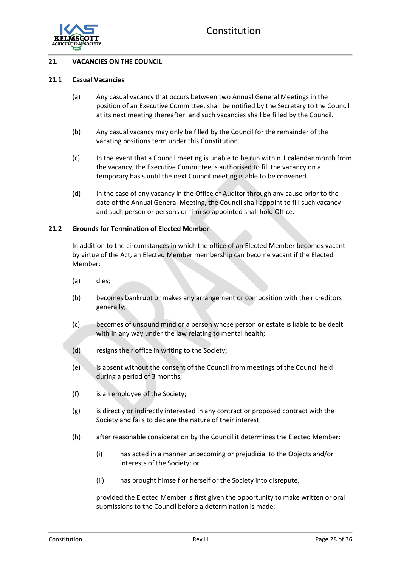

## <span id="page-27-0"></span>**21. VACANCIES ON THE COUNCIL**

#### <span id="page-27-1"></span>**21.1 Casual Vacancies**

- (a) Any casual vacancy that occurs between two Annual General Meetings in the position of an Executive Committee, shall be notified by the Secretary to the Council at its next meeting thereafter, and such vacancies shall be filled by the Council.
- (b) Any casual vacancy may only be filled by the Council for the remainder of the vacating positions term under this Constitution.
- (c) In the event that a Council meeting is unable to be run within 1 calendar month from the vacancy, the Executive Committee is authorised to fill the vacancy on a temporary basis until the next Council meeting is able to be convened.
- (d) In the case of any vacancy in the Office of Auditor through any cause prior to the date of the Annual General Meeting, the Council shall appoint to fill such vacancy and such person or persons or firm so appointed shall hold Office.

#### <span id="page-27-2"></span>**21.2 Grounds for Termination of Elected Member**

In addition to the circumstances in which the office of an Elected Member becomes vacant by virtue of the Act, an Elected Member membership can become vacant if the Elected Member:

- (a) dies;
- (b) becomes bankrupt or makes any arrangement or composition with their creditors generally;
- (c) becomes of unsound mind or a person whose person or estate is liable to be dealt with in any way under the law relating to mental health;
- (d) resigns their office in writing to the Society;
- (e) is absent without the consent of the Council from meetings of the Council held during a period of 3 months;
- (f) is an employee of the Society;
- (g) is directly or indirectly interested in any contract or proposed contract with the Society and fails to declare the nature of their interest;
- (h) after reasonable consideration by the Council it determines the Elected Member:
	- (i) has acted in a manner unbecoming or prejudicial to the Objects and/or interests of the Society; or
	- (ii) has brought himself or herself or the Society into disrepute,

provided the Elected Member is first given the opportunity to make written or oral submissions to the Council before a determination is made;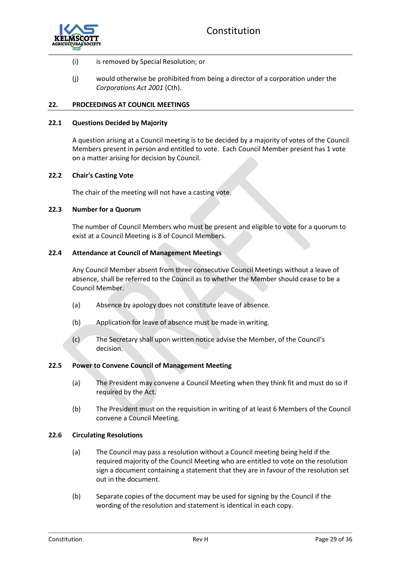

- (i) is removed by Special Resolution; or
- (j) would otherwise be prohibited from being a director of a corporation under the *Corporations Act 2001* (Cth).

## <span id="page-28-0"></span>**22. PROCEEDINGS AT COUNCIL MEETINGS**

## <span id="page-28-1"></span>**22.1 Questions Decided by Majority**

A question arising at a Council meeting is to be decided by a majority of votes of the Council Members present in person and entitled to vote. Each Council Member present has 1 vote on a matter arising for decision by Council.

## <span id="page-28-2"></span>**22.2 Chair's Casting Vote**

The chair of the meeting will not have a casting vote.

## <span id="page-28-3"></span>**22.3 Number for a Quorum**

The number of Council Members who must be present and eligible to vote for a quorum to exist at a Council Meeting is 8 of Council Members.

## <span id="page-28-4"></span>**22.4 Attendance at Council of Management Meetings**

Any Council Member absent from three consecutive Council Meetings without a leave of absence, shall be referred to the Council as to whether the Member should cease to be a Council Member.

- (a) Absence by apology does not constitute leave of absence.
- (b) Application for leave of absence must be made in writing.
- (c) The Secretary shall upon written notice advise the Member, of the Council's decision.

## <span id="page-28-5"></span>**22.5 Power to Convene Council of Management Meeting**

- (a) The President may convene a Council Meeting when they think fit and must do so if required by the Act.
- (b) The President must on the requisition in writing of at least 6 Members of the Council convene a Council Meeting.

## <span id="page-28-6"></span>**22.6 Circulating Resolutions**

- (a) The Council may pass a resolution without a Council meeting being held if the required majority of the Council Meeting who are entitled to vote on the resolution sign a document containing a statement that they are in favour of the resolution set out in the document.
- (b) Separate copies of the document may be used for signing by the Council if the wording of the resolution and statement is identical in each copy.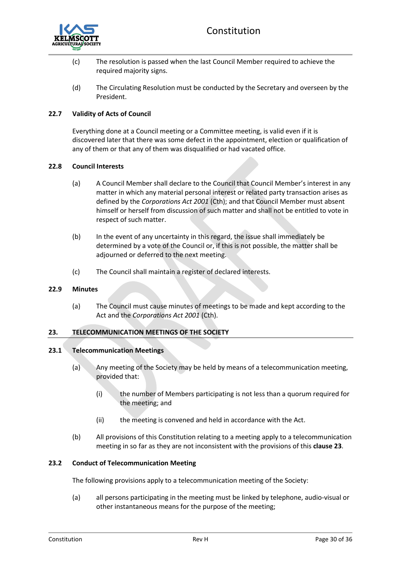

- (c) The resolution is passed when the last Council Member required to achieve the required majority signs.
- (d) The Circulating Resolution must be conducted by the Secretary and overseen by the President.

## <span id="page-29-0"></span>**22.7 Validity of Acts of Council**

Everything done at a Council meeting or a Committee meeting, is valid even if it is discovered later that there was some defect in the appointment, election or qualification of any of them or that any of them was disqualified or had vacated office.

## <span id="page-29-1"></span>**22.8 Council Interests**

- (a) A Council Member shall declare to the Council that Council Member's interest in any matter in which any material personal interest or related party transaction arises as defined by the *Corporations Act 2001* (Cth); and that Council Member must absent himself or herself from discussion of such matter and shall not be entitled to vote in respect of such matter.
- (b) In the event of any uncertainty in this regard, the issue shall immediately be determined by a vote of the Council or, if this is not possible, the matter shall be adiourned or deferred to the next meeting.
- (c) The Council shall maintain a register of declared interests.

## <span id="page-29-2"></span>**22.9 Minutes**

(a) The Council must cause minutes of meetings to be made and kept according to the Act and the *Corporations Act 2001* (Cth).

## <span id="page-29-3"></span>**23. TELECOMMUNICATION MEETINGS OF THE SOCIETY**

## <span id="page-29-4"></span>**23.1 Telecommunication Meetings**

- (a) Any meeting of the Society may be held by means of a telecommunication meeting, provided that:
	- (i) the number of Members participating is not less than a quorum required for the meeting; and
	- (ii) the meeting is convened and held in accordance with the Act.
- (b) All provisions of this Constitution relating to a meeting apply to a telecommunication meeting in so far as they are not inconsistent with the provisions of this **clause [23](#page-29-3)**.

## <span id="page-29-5"></span>**23.2 Conduct of Telecommunication Meeting**

The following provisions apply to a telecommunication meeting of the Society:

(a) all persons participating in the meeting must be linked by telephone, audio-visual or other instantaneous means for the purpose of the meeting;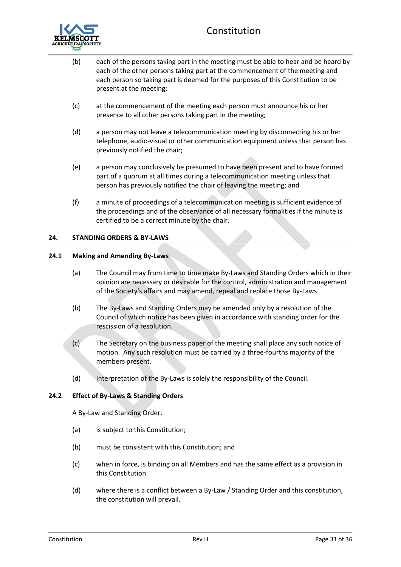

- (b) each of the persons taking part in the meeting must be able to hear and be heard by each of the other persons taking part at the commencement of the meeting and each person so taking part is deemed for the purposes of this Constitution to be present at the meeting;
- (c) at the commencement of the meeting each person must announce his or her presence to all other persons taking part in the meeting;
- (d) a person may not leave a telecommunication meeting by disconnecting his or her telephone, audio-visual or other communication equipment unless that person has previously notified the chair;
- (e) a person may conclusively be presumed to have been present and to have formed part of a quorum at all times during a telecommunication meeting unless that person has previously notified the chair of leaving the meeting; and
- (f) a minute of proceedings of a telecommunication meeting is sufficient evidence of the proceedings and of the observance of all necessary formalities if the minute is certified to be a correct minute by the chair.

## <span id="page-30-0"></span>**24. STANDING ORDERS & BY-LAWS**

## <span id="page-30-1"></span>**24.1 Making and Amending By-Laws**

- (a) The Council may from time to time make By-Laws and Standing Orders which in their opinion are necessary or desirable for the control, administration and management of the Society's affairs and may amend, repeal and replace those By-Laws.
- (b) The By-Laws and Standing Orders may be amended only by a resolution of the Council of which notice has been given in accordance with standing order for the rescission of a resolution.
- (c) The Secretary on the business paper of the meeting shall place any such notice of motion. Any such resolution must be carried by a three-fourths majority of the members present.
- (d) Interpretation of the By-Laws is solely the responsibility of the Council.

## <span id="page-30-2"></span>**24.2 Effect of By-Laws & Standing Orders**

A By-Law and Standing Order:

- (a) is subject to this Constitution;
- (b) must be consistent with this Constitution; and
- (c) when in force, is binding on all Members and has the same effect as a provision in this Constitution.
- (d) where there is a conflict between a By-Law / Standing Order and this constitution, the constitution will prevail.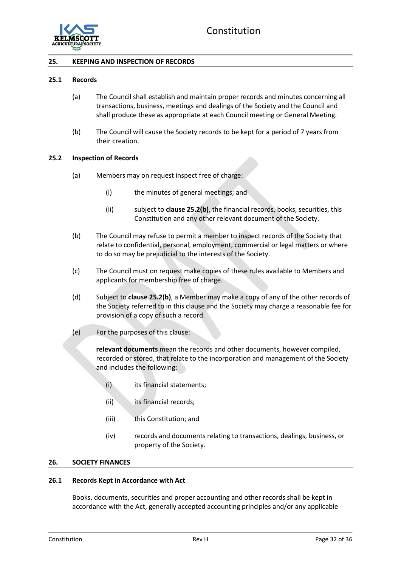

## <span id="page-31-0"></span>**25. KEEPING AND INSPECTION OF RECORDS**

#### <span id="page-31-1"></span>**25.1 Records**

- (a) The Council shall establish and maintain proper records and minutes concerning all transactions, business, meetings and dealings of the Society and the Council and shall produce these as appropriate at each Council meeting or General Meeting.
- (b) The Council will cause the Society records to be kept for a period of 7 years from their creation.

#### <span id="page-31-2"></span>**25.2 Inspection of Records**

- (a) Members may on request inspect free of charge:
	- (i) the minutes of general meetings; and
	- (ii) subject to **claus[e 25.2\(b\)](#page-31-5)**, the financial records, books, securities, this Constitution and any other relevant document of the Society.
- <span id="page-31-5"></span>(b) The Council may refuse to permit a member to inspect records of the Society that relate to confidential, personal, employment, commercial or legal matters or where to do so may be prejudicial to the interests of the Society.
- (c) The Council must on request make copies of these rules available to Members and applicants for membership free of charge.
- (d) Subject to **claus[e 25.2\(b\)](#page-31-5)**, a Member may make a copy of any of the other records of the Society referred to in this clause and the Society may charge a reasonable fee for provision of a copy of such a record.
- (e) For the purposes of this clause:

**relevant documents** mean the records and other documents, however compiled, recorded or stored, that relate to the incorporation and management of the Society and includes the following:

- (i) its financial statements;
- (ii) its financial records;
- (iii) this Constitution; and
- (iv) records and documents relating to transactions, dealings, business, or property of the Society.

#### <span id="page-31-3"></span>**26. SOCIETY FINANCES**

#### <span id="page-31-4"></span>**26.1 Records Kept in Accordance with Act**

Books, documents, securities and proper accounting and other records shall be kept in accordance with the Act, generally accepted accounting principles and/or any applicable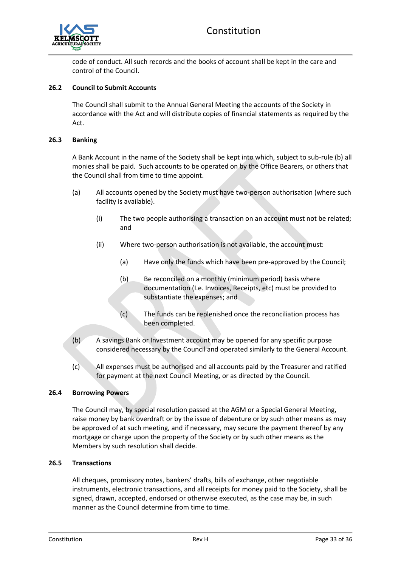

code of conduct. All such records and the books of account shall be kept in the care and control of the Council.

## <span id="page-32-0"></span>**26.2 Council to Submit Accounts**

The Council shall submit to the Annual General Meeting the accounts of the Society in accordance with the Act and will distribute copies of financial statements as required by the Act.

#### <span id="page-32-1"></span>**26.3 Banking**

A Bank Account in the name of the Society shall be kept into which, subject to sub-rule (b) all monies shall be paid. Such accounts to be operated on by the Office Bearers, or others that the Council shall from time to time appoint.

- (a) All accounts opened by the Society must have two-person authorisation (where such facility is available).
	- (i) The two people authorising a transaction on an account must not be related; and
	- (ii) Where two-person authorisation is not available, the account must:
		- (a) Have only the funds which have been pre-approved by the Council;
		- (b) Be reconciled on a monthly (minimum period) basis where documentation (I.e. Invoices, Receipts, etc) must be provided to substantiate the expenses; and
		- (c) The funds can be replenished once the reconciliation process has been completed.
- (b) A savings Bank or Investment account may be opened for any specific purpose considered necessary by the Council and operated similarly to the General Account.
- (c) All expenses must be authorised and all accounts paid by the Treasurer and ratified for payment at the next Council Meeting, or as directed by the Council.

## <span id="page-32-2"></span>**26.4 Borrowing Powers**

The Council may, by special resolution passed at the AGM or a Special General Meeting, raise money by bank overdraft or by the issue of debenture or by such other means as may be approved of at such meeting, and if necessary, may secure the payment thereof by any mortgage or charge upon the property of the Society or by such other means as the Members by such resolution shall decide.

#### <span id="page-32-3"></span>**26.5 Transactions**

All cheques, promissory notes, bankers' drafts, bills of exchange, other negotiable instruments, electronic transactions, and all receipts for money paid to the Society, shall be signed, drawn, accepted, endorsed or otherwise executed, as the case may be, in such manner as the Council determine from time to time.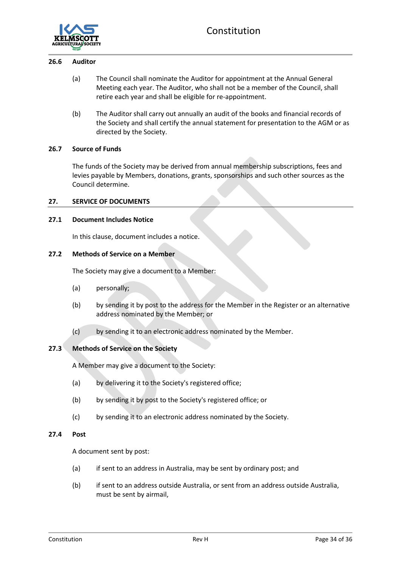

#### <span id="page-33-0"></span>**26.6 Auditor**

- (a) The Council shall nominate the Auditor for appointment at the Annual General Meeting each year. The Auditor, who shall not be a member of the Council, shall retire each year and shall be eligible for re-appointment.
- (b) The Auditor shall carry out annually an audit of the books and financial records of the Society and shall certify the annual statement for presentation to the AGM or as directed by the Society.

#### <span id="page-33-1"></span>**26.7 Source of Funds**

The funds of the Society may be derived from annual membership subscriptions, fees and levies payable by Members, donations, grants, sponsorships and such other sources as the Council determine.

#### <span id="page-33-2"></span>**27. SERVICE OF DOCUMENTS**

#### <span id="page-33-3"></span>**27.1 Document Includes Notice**

In this clause, document includes a notice.

#### <span id="page-33-4"></span>**27.2 Methods of Service on a Member**

The Society may give a document to a Member:

- (a) personally;
- (b) by sending it by post to the address for the Member in the Register or an alternative address nominated by the Member; or
- (c) by sending it to an electronic address nominated by the Member.

#### <span id="page-33-5"></span>**27.3 Methods of Service on the Society**

A Member may give a document to the Society:

- (a) by delivering it to the Society's registered office;
- (b) by sending it by post to the Society's registered office; or
- (c) by sending it to an electronic address nominated by the Society.

#### <span id="page-33-6"></span>**27.4 Post**

A document sent by post:

- (a) if sent to an address in Australia, may be sent by ordinary post; and
- (b) if sent to an address outside Australia, or sent from an address outside Australia, must be sent by airmail,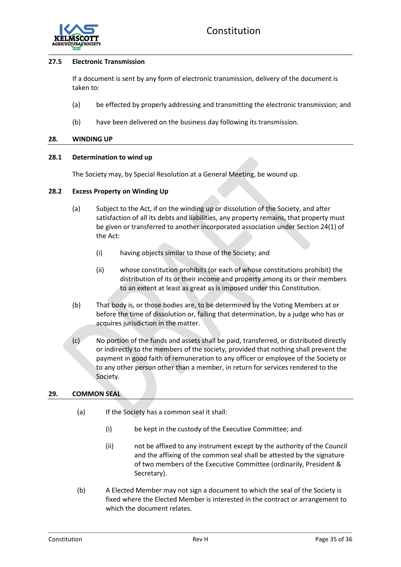

#### <span id="page-34-0"></span>**27.5 Electronic Transmission**

If a document is sent by any form of electronic transmission, delivery of the document is taken to:

- (a) be effected by properly addressing and transmitting the electronic transmission; and
- (b) have been delivered on the business day following its transmission.

## <span id="page-34-1"></span>**28. WINDING UP**

## <span id="page-34-2"></span>**28.1 Determination to wind up**

The Society may, by Special Resolution at a General Meeting, be wound up.

## <span id="page-34-3"></span>**28.2 Excess Property on Winding Up**

- (a) Subject to the Act, if on the winding up or dissolution of the Society, and after satisfaction of all its debts and liabilities, any property remains, that property must be given or transferred to another incorporated association under Section 24(1) of the Act:
	- (i) having objects similar to those of the Society; and
	- (ii) whose constitution prohibits (or each of whose constitutions prohibit) the distribution of its or their income and property among its or their members to an extent at least as great as is imposed under this Constitution.
- (b) That body is, or those bodies are, to be determined by the Voting Members at or before the time of dissolution or, failing that determination, by a judge who has or acquires jurisdiction in the matter.
- (c) No portion of the funds and assets shall be paid, transferred, or distributed directly or indirectly to the members of the society, provided that nothing shall prevent the payment in good faith of remuneration to any officer or employee of the Society or to any other person other than a member, in return for services rendered to the Society.

# <span id="page-34-4"></span>**29. COMMON SEAL**

- (a) If the Society has a common seal it shall:
	- (i) be kept in the custody of the Executive Committee; and
	- (ii) not be affixed to any instrument except by the authority of the Council and the affixing of the common seal shall be attested by the signature of two members of the Executive Committee (ordinarily, President & Secretary).
- (b) A Elected Member may not sign a document to which the seal of the Society is fixed where the Elected Member is interested in the contract or arrangement to which the document relates.